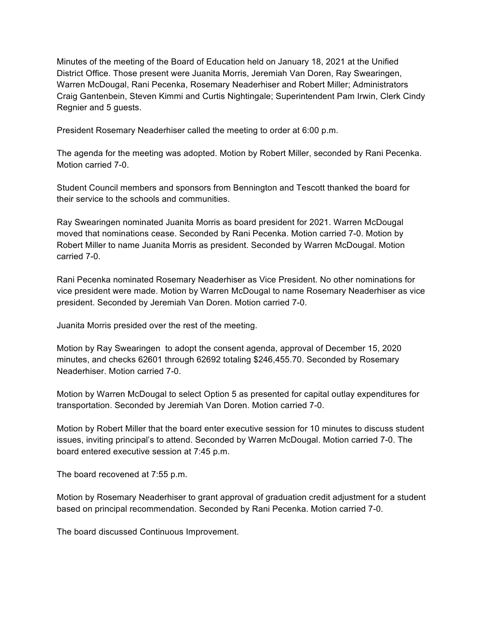Minutes of the meeting of the Board of Education held on January 18, 2021 at the Unified District Office. Those present were Juanita Morris, Jeremiah Van Doren, Ray Swearingen, Warren McDougal, Rani Pecenka, Rosemary Neaderhiser and Robert Miller; Administrators Craig Gantenbein, Steven Kimmi and Curtis Nightingale; Superintendent Pam Irwin, Clerk Cindy Regnier and 5 guests.

President Rosemary Neaderhiser called the meeting to order at 6:00 p.m.

The agenda for the meeting was adopted. Motion by Robert Miller, seconded by Rani Pecenka. Motion carried 7-0.

Student Council members and sponsors from Bennington and Tescott thanked the board for their service to the schools and communities.

Ray Swearingen nominated Juanita Morris as board president for 2021. Warren McDougal moved that nominations cease. Seconded by Rani Pecenka. Motion carried 7-0. Motion by Robert Miller to name Juanita Morris as president. Seconded by Warren McDougal. Motion carried 7-0.

Rani Pecenka nominated Rosemary Neaderhiser as Vice President. No other nominations for vice president were made. Motion by Warren McDougal to name Rosemary Neaderhiser as vice president. Seconded by Jeremiah Van Doren. Motion carried 7-0.

Juanita Morris presided over the rest of the meeting.

Motion by Ray Swearingen to adopt the consent agenda, approval of December 15, 2020 minutes, and checks 62601 through 62692 totaling \$246,455.70. Seconded by Rosemary Neaderhiser. Motion carried 7-0.

Motion by Warren McDougal to select Option 5 as presented for capital outlay expenditures for transportation. Seconded by Jeremiah Van Doren. Motion carried 7-0.

Motion by Robert Miller that the board enter executive session for 10 minutes to discuss student issues, inviting principal's to attend. Seconded by Warren McDougal. Motion carried 7-0. The board entered executive session at 7:45 p.m.

The board recovened at 7:55 p.m.

Motion by Rosemary Neaderhiser to grant approval of graduation credit adjustment for a student based on principal recommendation. Seconded by Rani Pecenka. Motion carried 7-0.

The board discussed Continuous Improvement.